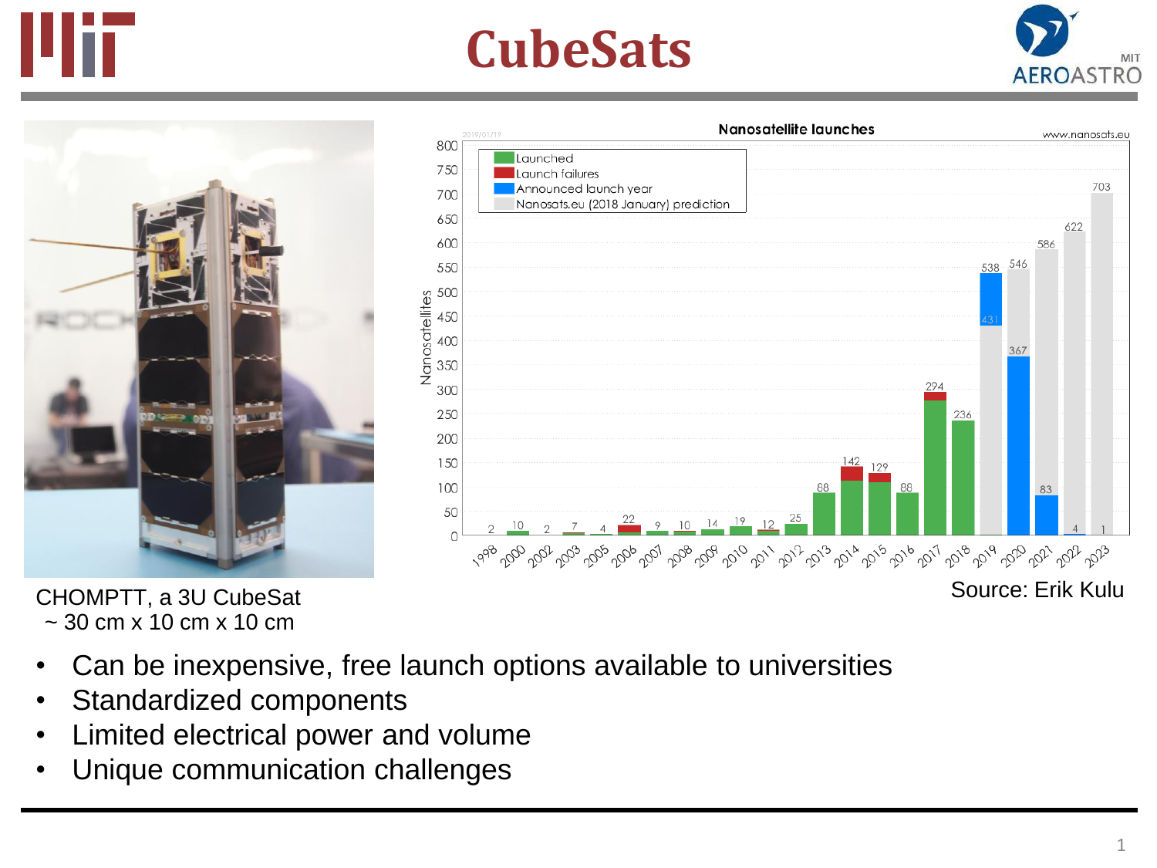

## **CubeSats**





CHOMPTT, a 3U CubeSat  $\sim$  30 cm x 10 cm x 10 cm

- Can be inexpensive, free launch options available to universities
- Standardized components
- Limited electrical power and volume
- Unique communication challenges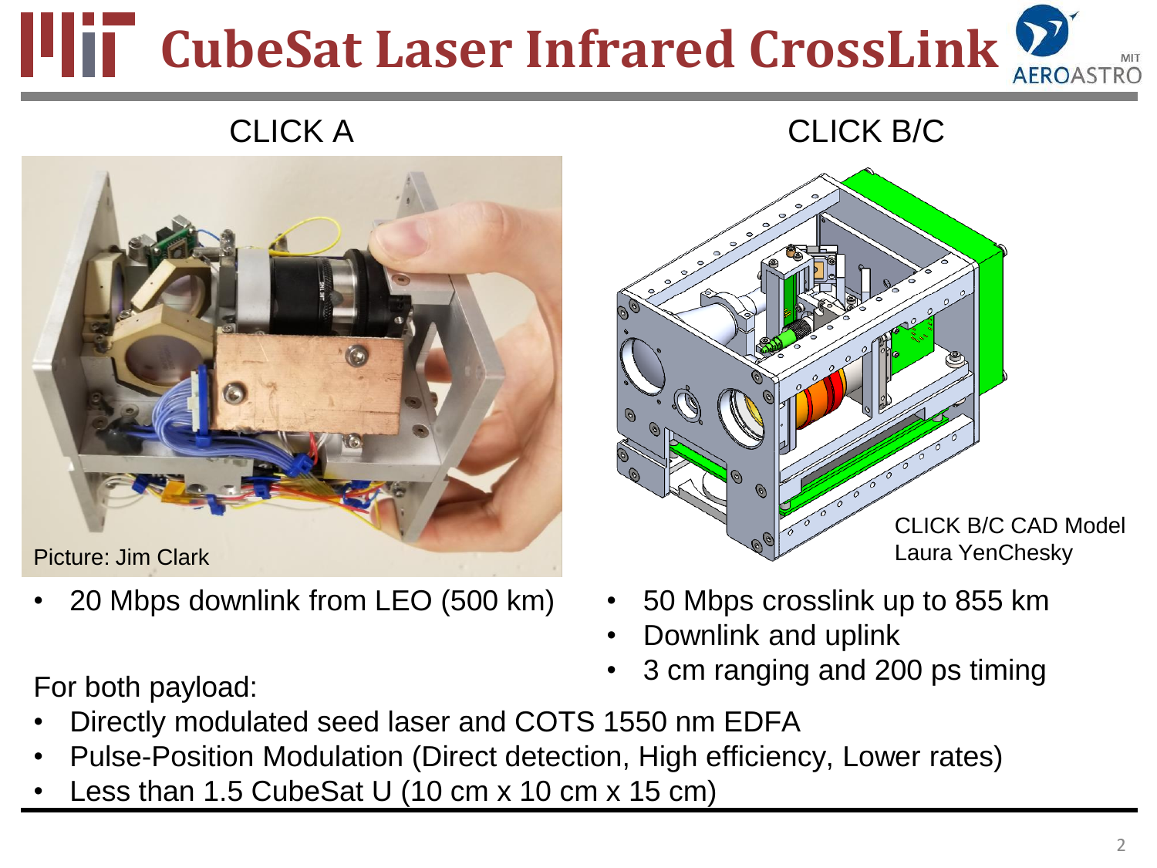## **CubeSat Laser Infrared CrossLink**

## CLICK A CLICK B/C



Picture: Jim Clark

• 20 Mbps downlink from LEO (500 km)

CLICK B/C CAD Model Laura YenChesky

- 50 Mbps crosslink up to 855 km
- Downlink and uplink
- 3 cm ranging and 200 ps timing

For both payload:

- Directly modulated seed laser and COTS 1550 nm EDFA
- Pulse-Position Modulation (Direct detection, High efficiency, Lower rates)
- Less than 1.5 CubeSat U (10 cm x 10 cm x 15 cm)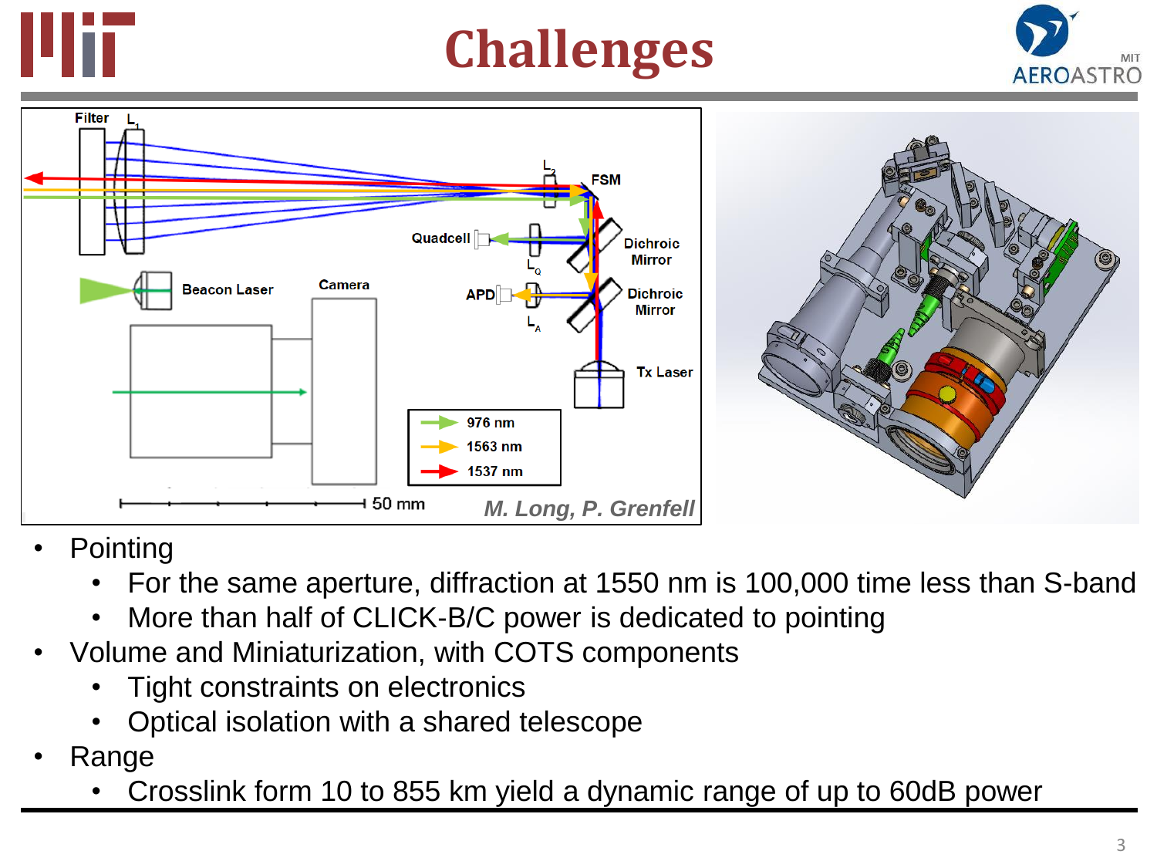

## **Challenges**





- **Pointing** 
	- For the same aperture, diffraction at 1550 nm is 100,000 time less than S-band
	- More than half of CLICK-B/C power is dedicated to pointing
- Volume and Miniaturization, with COTS components
	- Tight constraints on electronics
	- Optical isolation with a shared telescope
- Range
	- Crosslink form 10 to 855 km yield a dynamic range of up to 60dB power